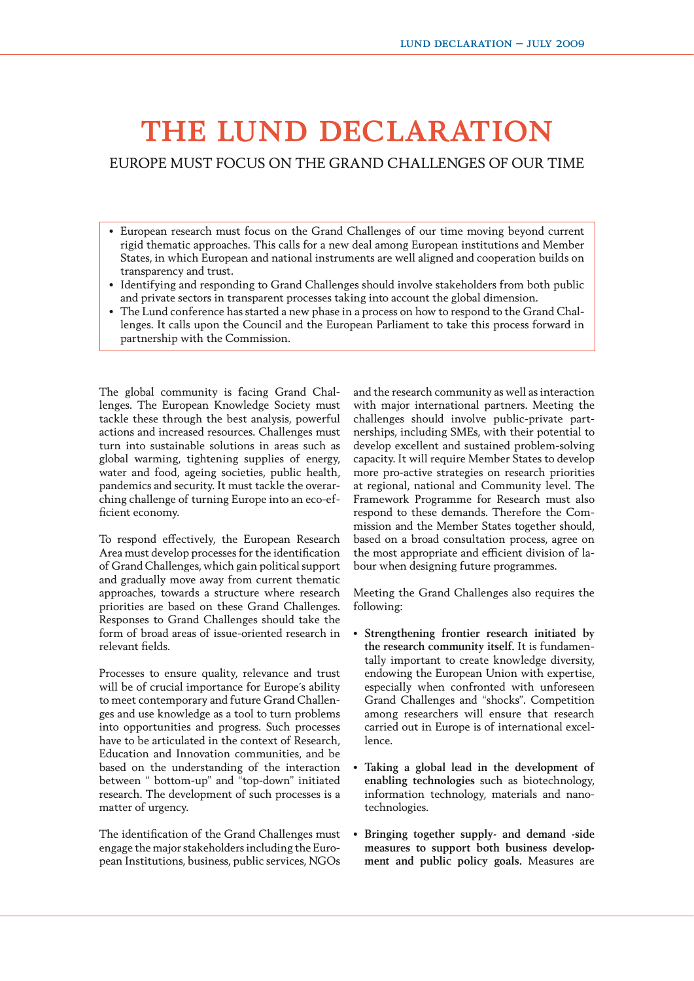## THE LUND DECLARATION

EUROPE MUST FOCUS ON THE GRAND CHALLENGES OF OUR TIME

- European research must focus on the Grand Challenges of our time moving beyond current rigid thematic approaches. This calls for a new deal among European institutions and Member States, in which European and national instruments are well aligned and cooperation builds on transparency and trust.
- Identifying and responding to Grand Challenges should involve stakeholders from both public and private sectors in transparent processes taking into account the global dimension.
- The Lund conference has started a new phase in a process on how to respond to the Grand Challenges. It calls upon the Council and the European Parliament to take this process forward in partnership with the Commission.

The global community is facing Grand Challenges. The European Knowledge Society must tackle these through the best analysis, powerful actions and increased resources. Challenges must turn into sustainable solutions in areas such as global warming, tightening supplies of energy, water and food, ageing societies, public health, pandemics and security. It must tackle the overarching challenge of turning Europe into an eco-efficient economy.

To respond effectively, the European Research Area must develop processes for the identification of Grand Challenges, which gain political support and gradually move away from current thematic approaches, towards a structure where research priorities are based on these Grand Challenges. Responses to Grand Challenges should take the form of broad areas of issue-oriented research in relevant fields.

Processes to ensure quality, relevance and trust will be of crucial importance for Europe´s ability to meet contemporary and future Grand Challenges and use knowledge as a tool to turn problems into opportunities and progress. Such processes have to be articulated in the context of Research, Education and Innovation communities, and be based on the understanding of the interaction between " bottom-up" and "top-down" initiated research. The development of such processes is a matter of urgency.

The identification of the Grand Challenges must engage the major stakeholders including the European Institutions, business, public services, NGOs

and the research community as well as interaction with major international partners. Meeting the challenges should involve public-private partnerships, including SMEs, with their potential to develop excellent and sustained problem-solving capacity. It will require Member States to develop more pro-active strategies on research priorities at regional, national and Community level. The Framework Programme for Research must also respond to these demands. Therefore the Commission and the Member States together should, based on a broad consultation process, agree on the most appropriate and efficient division of labour when designing future programmes.

Meeting the Grand Challenges also requires the following:

- **Strengthening frontier research initiated by the research community itself.** It is fundamentally important to create knowledge diversity, endowing the European Union with expertise, especially when confronted with unforeseen Grand Challenges and "shocks". Competition among researchers will ensure that research carried out in Europe is of international excellence.
- **Taking a global lead in the development of enabling technologies** such as biotechnology, information technology, materials and nanotechnologies.
- **Bringing together supply- and demand -side measures to support both business development and public policy goals.** Measures are